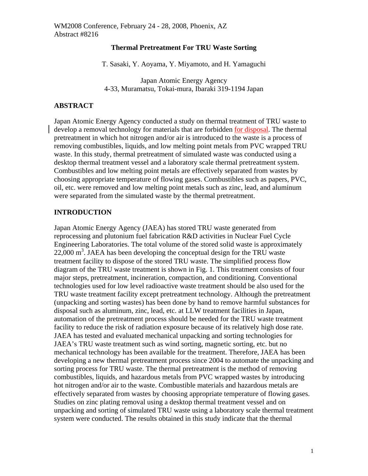#### **Thermal Pretreatment For TRU Waste Sorting**

T. Sasaki, Y. Aoyama, Y. Miyamoto, and H. Yamaguchi

Japan Atomic Energy Agency 4-33, Muramatsu, Tokai-mura, Ibaraki 319-1194 Japan

### **ABSTRACT**

Japan Atomic Energy Agency conducted a study on thermal treatment of TRU waste to develop a removal technology for materials that are forbidden for disposal. The thermal pretreatment in which hot nitrogen and/or air is introduced to the waste is a process of removing combustibles, liquids, and low melting point metals from PVC wrapped TRU waste. In this study, thermal pretreatment of simulated waste was conducted using a desktop thermal treatment vessel and a laboratory scale thermal pretreatment system. Combustibles and low melting point metals are effectively separated from wastes by choosing appropriate temperature of flowing gases. Combustibles such as papers, PVC, oil, etc. were removed and low melting point metals such as zinc, lead, and aluminum were separated from the simulated waste by the thermal pretreatment.

### **INTRODUCTION**

Japan Atomic Energy Agency (JAEA) has stored TRU waste generated from reprocessing and plutonium fuel fabrication R&D activities in Nuclear Fuel Cycle Engineering Laboratories. The total volume of the stored solid waste is approximately 22,000 m<sup>3</sup>. JAEA has been developing the conceptual design for the TRU waste treatment facility to dispose of the stored TRU waste. The simplified process flow diagram of the TRU waste treatment is shown in Fig. 1. This treatment consists of four major steps, pretreatment, incineration, compaction, and conditioning. Conventional technologies used for low level radioactive waste treatment should be also used for the TRU waste treatment facility except pretreatment technology. Although the pretreatment (unpacking and sorting wastes) has been done by hand to remove harmful substances for disposal such as aluminum, zinc, lead, etc. at LLW treatment facilities in Japan, automation of the pretreatment process should be needed for the TRU waste treatment facility to reduce the risk of radiation exposure because of its relatively high dose rate. JAEA has tested and evaluated mechanical unpacking and sorting technologies for JAEA's TRU waste treatment such as wind sorting, magnetic sorting, etc. but no mechanical technology has been available for the treatment. Therefore, JAEA has been developing a new thermal pretreatment process since 2004 to automate the unpacking and sorting process for TRU waste. The thermal pretreatment is the method of removing combustibles, liquids, and hazardous metals from PVC wrapped wastes by introducing hot nitrogen and/or air to the waste. Combustible materials and hazardous metals are effectively separated from wastes by choosing appropriate temperature of flowing gases. Studies on zinc plating removal using a desktop thermal treatment vessel and on unpacking and sorting of simulated TRU waste using a laboratory scale thermal treatment system were conducted. The results obtained in this study indicate that the thermal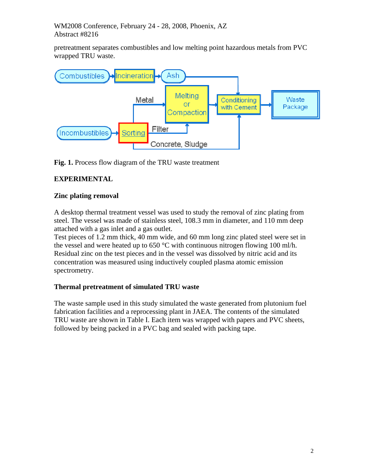WM2008 Conference, February 24 - 28, 2008, Phoenix, AZ Abstract #8216

pretreatment separates combustibles and low melting point hazardous metals from PVC wrapped TRU waste.



**Fig. 1.** Process flow diagram of the TRU waste treatment

# **EXPERIMENTAL**

### **Zinc plating removal**

A desktop thermal treatment vessel was used to study the removal of zinc plating from steel. The vessel was made of stainless steel, 108.3 mm in diameter, and 110 mm deep attached with a gas inlet and a gas outlet.

Test pieces of 1.2 mm thick, 40 mm wide, and 60 mm long zinc plated steel were set in the vessel and were heated up to 650  $\degree$ C with continuous nitrogen flowing 100 ml/h. Residual zinc on the test pieces and in the vessel was dissolved by nitric acid and its concentration was measured using inductively coupled plasma atomic emission spectrometry.

### **Thermal pretreatment of simulated TRU waste**

The waste sample used in this study simulated the waste generated from plutonium fuel fabrication facilities and a reprocessing plant in JAEA. The contents of the simulated TRU waste are shown in Table I. Each item was wrapped with papers and PVC sheets, followed by being packed in a PVC bag and sealed with packing tape.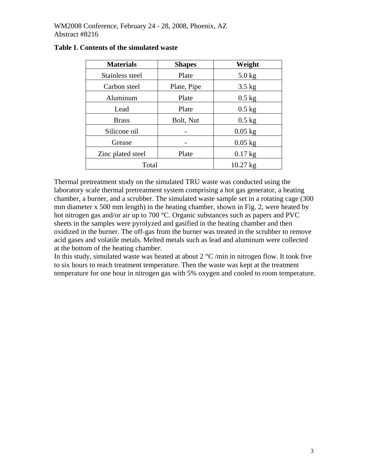| <b>Materials</b>  | <b>Shapes</b>      | Weight    |  |
|-------------------|--------------------|-----------|--|
| Stainless steel   | Plate              | $5.0$ kg  |  |
| Carbon steel      | Plate, Pipe        | $3.5$ kg  |  |
| Aluminum          | Plate              | $0.5$ kg  |  |
| Lead              | Plate              | $0.5$ kg  |  |
| <b>Brass</b>      | Bolt, Nut          | $0.5$ kg  |  |
| Silicone oil      |                    | $0.05$ kg |  |
| Grease            |                    | $0.05$ kg |  |
| Zinc plated steel | Plate              | $0.17$ kg |  |
| Total             | $10.27 \text{ kg}$ |           |  |

### **Table I. Contents of the simulated waste**

Thermal pretreatment study on the simulated TRU waste was conducted using the laboratory scale thermal pretreatment system comprising a hot gas generator, a heating chamber, a burner, and a scrubber. The simulated waste sample set in a rotating cage (300 mm diameter x 500 mm length) in the heating chamber, shown in Fig. 2, were heated by hot nitrogen gas and/or air up to 700 °C. Organic substances such as papers and PVC sheets in the samples were pyrolyzed and gasified in the heating chamber and then oxidized in the burner. The off-gas from the burner was treated in the scrubber to remove acid gases and volatile metals. Melted metals such as lead and aluminum were collected at the bottom of the heating chamber.

In this study, simulated waste was heated at about  $2 \degree C$  /min in nitrogen flow. It took five to six hours to reach treatment temperature. Then the waste was kept at the treatment temperature for one hour in nitrogen gas with 5% oxygen and cooled to room temperature.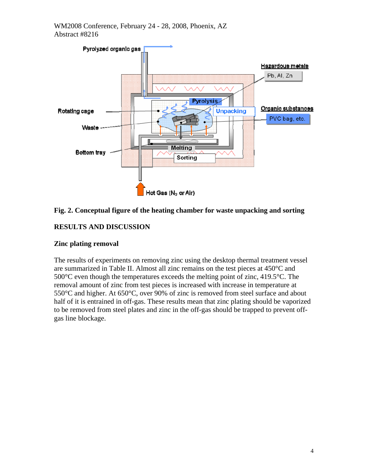

### **Fig. 2. Conceptual figure of the heating chamber for waste unpacking and sorting**

# **RESULTS AND DISCUSSION**

### **Zinc plating removal**

The results of experiments on removing zinc using the desktop thermal treatment vessel are summarized in Table II. Almost all zinc remains on the test pieces at 450°C and 500°C even though the temperatures exceeds the melting point of zinc, 419.5°C. The removal amount of zinc from test pieces is increased with increase in temperature at 550°C and higher. At 650°C, over 90% of zinc is removed from steel surface and about half of it is entrained in off-gas. These results mean that zinc plating should be vaporized to be removed from steel plates and zinc in the off-gas should be trapped to prevent offgas line blockage.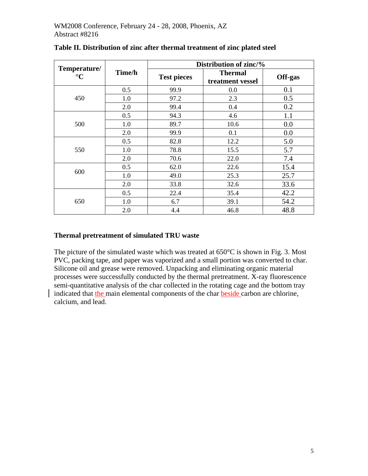|                                 | Time/h | Distribution of zinc/% |                                    |         |  |
|---------------------------------|--------|------------------------|------------------------------------|---------|--|
| Temperature/<br>$\rm ^{\circ}C$ |        | <b>Test pieces</b>     | <b>Thermal</b><br>treatment vessel | Off-gas |  |
|                                 | 0.5    | 99.9                   | 0.0                                | 0.1     |  |
| 450                             | 1.0    | 97.2                   | 2.3                                | 0.5     |  |
|                                 | 2.0    | 99.4                   | 0.4                                | 0.2     |  |
|                                 | 0.5    | 94.3                   | 4.6                                | 1.1     |  |
| 500                             | 1.0    | 89.7                   | 10.6                               | 0.0     |  |
|                                 | 2.0    | 99.9                   | 0.1                                | 0.0     |  |
|                                 | 0.5    | 82.8                   | 12.2                               | 5.0     |  |
| 550                             | 1.0    | 78.8                   | 15.5                               | 5.7     |  |
|                                 | 2.0    | 70.6                   | 22.0                               | 7.4     |  |
| 600                             | 0.5    | 62.0                   | 22.6                               | 15.4    |  |
|                                 | 1.0    | 49.0                   | 25.3                               | 25.7    |  |
|                                 | 2.0    | 33.8                   | 32.6                               | 33.6    |  |
|                                 | 0.5    | 22.4                   | 35.4                               | 42.2    |  |
| 650                             | 1.0    | 6.7                    | 39.1                               | 54.2    |  |
|                                 | 2.0    | 4.4                    | 46.8                               | 48.8    |  |

**Table II. Distribution of zinc after thermal treatment of zinc plated steel** 

### **Thermal pretreatment of simulated TRU waste**

The picture of the simulated waste which was treated at 650 °C is shown in Fig. 3. Most PVC, packing tape, and paper was vaporized and a small portion was converted to char. Silicone oil and grease were removed. Unpacking and eliminating organic material processes were successfully conducted by the thermal pretreatment. X-ray fluorescence semi-quantitative analysis of the char collected in the rotating cage and the bottom tray indicated that the main elemental components of the char beside carbon are chlorine, calcium, and lead.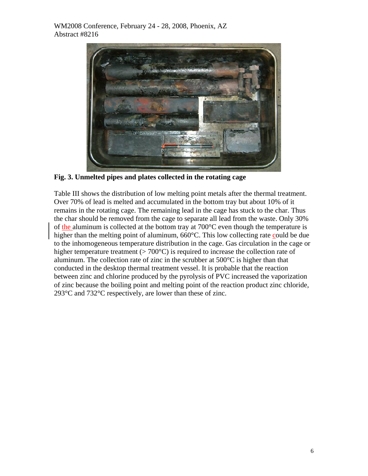

**Fig. 3. Unmelted pipes and plates collected in the rotating cage** 

Table III shows the distribution of low melting point metals after the thermal treatment. Over 70% of lead is melted and accumulated in the bottom tray but about 10% of it remains in the rotating cage. The remaining lead in the cage has stuck to the char. Thus the char should be removed from the cage to separate all lead from the waste. Only 30% of the aluminum is collected at the bottom tray at  $700^{\circ}$ C even though the temperature is higher than the melting point of aluminum, 660°C. This low collecting rate could be due to the inhomogeneous temperature distribution in the cage. Gas circulation in the cage or higher temperature treatment  $(>700^{\circ}C)$  is required to increase the collection rate of aluminum. The collection rate of zinc in the scrubber at 500°C is higher than that conducted in the desktop thermal treatment vessel. It is probable that the reaction between zinc and chlorine produced by the pyrolysis of PVC increased the vaporization of zinc because the boiling point and melting point of the reaction product zinc chloride, 293°C and 732°C respectively, are lower than these of zinc.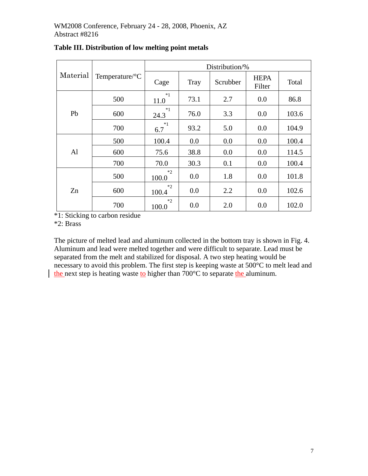### WM2008 Conference, February 24 - 28, 2008, Phoenix, AZ Abstract #8216

| Material |                            | Distribution/% |             |          |                       |       |
|----------|----------------------------|----------------|-------------|----------|-----------------------|-------|
|          | Temperature/ ${}^{\circ}C$ | Cage           | <b>Tray</b> | Scrubber | <b>HEPA</b><br>Filter | Total |
| Pb       | 500                        | $*1$<br>11.0   | 73.1        | 2.7      | 0.0                   | 86.8  |
|          | 600                        | $*1$<br>24.3   | 76.0        | 3.3      | 0.0                   | 103.6 |
|          | 700                        | $*1$<br>6.7    | 93.2        | 5.0      | 0.0                   | 104.9 |
| Al       | 500                        | 100.4          | 0.0         | 0.0      | 0.0                   | 100.4 |
|          | 600                        | 75.6           | 38.8        | 0.0      | 0.0                   | 114.5 |
|          | 700                        | 70.0           | 30.3        | 0.1      | 0.0                   | 100.4 |
| Zn       | 500                        | $*2$<br>100.0  | 0.0         | 1.8      | 0.0                   | 101.8 |
|          | 600                        | $*2$<br>100.4  | 0.0         | 2.2      | 0.0                   | 102.6 |
|          | 700                        | $*2$<br>100.0  | 0.0         | 2.0      | 0.0                   | 102.0 |

# **Table III. Distribution of low melting point metals**

\*1: Sticking to carbon residue

\*2: Brass

The picture of melted lead and aluminum collected in the bottom tray is shown in Fig. 4. Aluminum and lead were melted together and were difficult to separate. Lead must be separated from the melt and stabilized for disposal. A two step heating would be necessary to avoid this problem. The first step is keeping waste at 500°C to melt lead and the next step is heating waste to higher than 700°C to separate the aluminum.